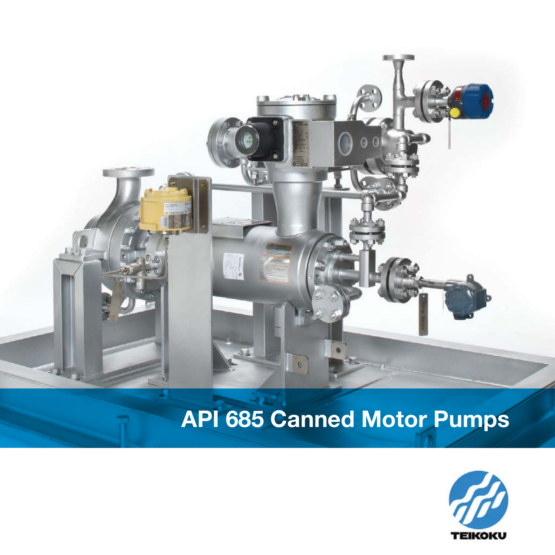

# **API 685 Canned Motor Pumps**

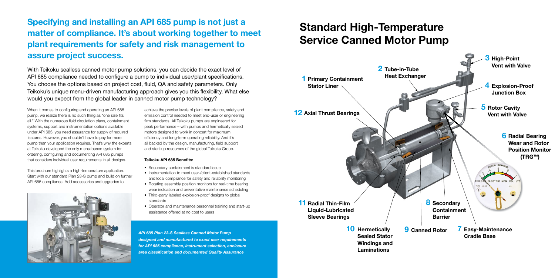### **Specifying and installing an API 685 pump is not just a matter of compliance. It's about working together to meet plant requirements for safety and risk management to assure project success.**

With Teikoku sealless canned motor pump solutions, you can decide the exact level of API 685 compliance needed to configure a pump to individual user/plant specifications. You choose the options based on project cost, fluid, QA and safety parameters. Only Teikoku's unique menu-driven manufacturing approach gives you this flexibility. What else would you expect from the global leader in canned motor pump technology?

When it comes to configuring and operating an API 685 pump, we realize there is no such thing as "one size fits all." With the numerous fluid circulation plans, containment systems, support and instrumentation options available under API 685, you need assurance for supply of required features. However, you shouldn't have to pay for more pump than your application requires. That's why the experts at Teikoku developed the only menu-based system for ordering, configuring and documenting API 685 pumps that considers individual user requirements in all designs.

This brochure highlights a high-temperature application. Start with our standard Plan 23-S pump and build on further API 685 compliance. Add accessories and upgrades to



achieve the precise levels of plant compliance, safety and emission control needed to meet end-user or engineering firm standards. All Teikoku pumps are engineered for peak performance – with pumps and hermetically sealed motors designed to work in concert for maximum efficiency and long-term operating reliability. And it's all backed by the design, manufacturing, field support and start-up resources of the global Teikoku Group.

#### **Teikoku API 685 Benefits:**

- Secondary containment is standard issue
- Instrumentation to meet user-/client-established standards and local compliance for safety and reliability monitoring
- Rotating assembly position monitors for real-time bearing wear indication and preventative maintenance scheduling
- Third-party labeled explosion-proof designs to global standards
- Operator and maintenance personnel training and start-up assistance offered at no cost to users

*API 685 Plan 23-S Sealless Canned Motor Pump designed and manufactured to exact user requirements for API 685 compliance, instrument selection, enclosure area classification and documented Quality Assurance*

# **Standard High-Temperature Service Canned Motor Pump**

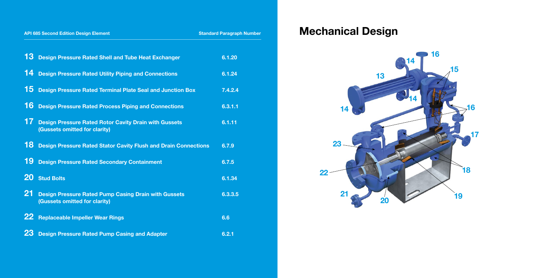| <b>API 685 Second Edition Design Element</b> |                                                                                               | <b>Standard Paragraph Number</b> |
|----------------------------------------------|-----------------------------------------------------------------------------------------------|----------------------------------|
| 13                                           | <b>Design Pressure Rated Shell and Tube Heat Exchanger</b>                                    | 6.1.20                           |
| 14                                           | <b>Design Pressure Rated Utility Piping and Connections</b>                                   | 6.1.24                           |
| 15                                           | <b>Design Pressure Rated Terminal Plate Seal and Junction Box</b>                             | 7.4.2.4                          |
| 16                                           | <b>Design Pressure Rated Process Piping and Connections</b>                                   | 6.3.1.1                          |
| 17                                           | <b>Design Pressure Rated Rotor Cavity Drain with Gussets</b><br>(Gussets omitted for clarity) | 6.1.11                           |
| 18                                           | <b>Design Pressure Rated Stator Cavity Flush and Drain Connections</b>                        | 6.7.9                            |
| 19                                           | <b>Design Pressure Rated Secondary Containment</b>                                            | 6.7.5                            |
| <b>20</b>                                    | <b>Stud Bolts</b>                                                                             | 6.1.34                           |
| 21                                           | <b>Design Pressure Rated Pump Casing Drain with Gussets</b><br>(Gussets omitted for clarity)  | 6.3.3.5                          |
| <b>22</b>                                    | <b>Replaceable Impeller Wear Rings</b>                                                        | 6.6                              |
| 23                                           | <b>Design Pressure Rated Pump Casing and Adapter</b>                                          | 6.2.1                            |

# **Mechanical Design**

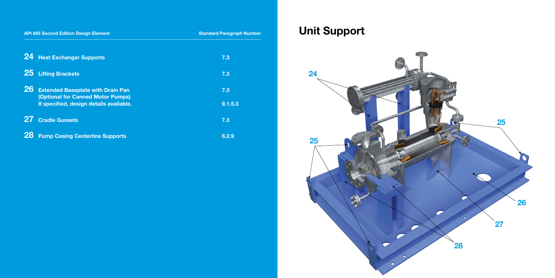| <b>API 685 Second Edition Design Element</b>                                                      | <b>Standard Paragraph Number</b> |
|---------------------------------------------------------------------------------------------------|----------------------------------|
| <b>24 Heat Exchanger Supports</b>                                                                 | 7.3                              |
| <b>Lifting Brackets</b><br><b>25</b>                                                              | 7.3                              |
| <b>26</b><br><b>Extended Baseplate with Drain Pan</b><br><b>(Optional for Canned Motor Pumps)</b> | 7.3                              |
| If specified, design details available.                                                           | 9.1.5.3                          |
| 27<br><b>Cradle Gussets</b>                                                                       | 7.3                              |
| <b>28</b><br><b>Pump Casing Centerline Supports</b>                                               | 6.2.9                            |

# **Unit Support**

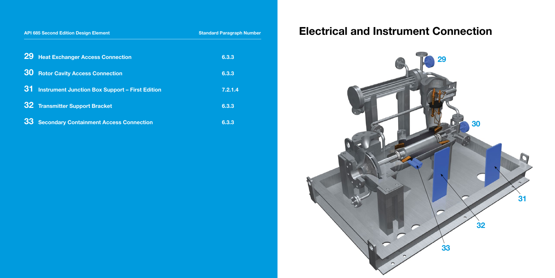| <b>API 685 Second Edition Design Element</b> |                                                        | <b>Standard Paragraph Number</b> |
|----------------------------------------------|--------------------------------------------------------|----------------------------------|
| <b>29</b>                                    | <b>Heat Exchanger Access Connection</b>                | 6.3.3                            |
| <b>30</b>                                    | <b>Rotor Cavity Access Connection</b>                  | 6.3.3                            |
| -31-                                         | <b>Instrument Junction Box Support - First Edition</b> | 7.2.1.4                          |
|                                              | <b>32</b> Transmitter Support Bracket                  | 6.3.3                            |
| 33                                           | <b>Secondary Containment Access Connection</b>         | 6.3.3                            |

# **Electrical and Instrument Connection**

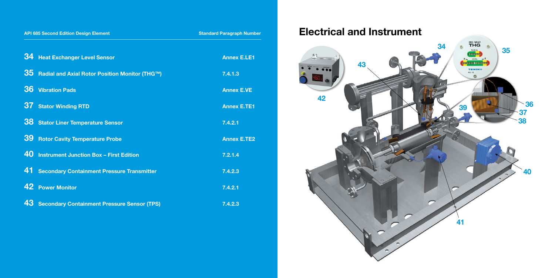| <b>API 685 Second Edition Design Element</b> |                                                       | <b>Standard Paragraph Number</b> |
|----------------------------------------------|-------------------------------------------------------|----------------------------------|
|                                              | 34 Heat Exchanger Level Sensor                        | <b>Annex E.LE1</b>               |
| 35                                           | <b>Radial and Axial Rotor Position Monitor (THG™)</b> | 7.4.1.3                          |
| 36                                           | <b>Vibration Pads</b>                                 | <b>Annex E.VE</b>                |
| 37                                           | <b>Stator Winding RTD</b>                             | <b>Annex E.TE1</b>               |
| 38                                           | <b>Stator Liner Temperature Sensor</b>                | 7.4.2.1                          |
| 39                                           | <b>Rotor Cavity Temperature Probe</b>                 | <b>Annex E.TE2</b>               |
| 40                                           | <b>Instrument Junction Box - First Edition</b>        | 7.2.1.4                          |
| 41                                           | <b>Secondary Containment Pressure Transmitter</b>     | 7.4.2.3                          |
|                                              | 42 Power Monitor                                      | 7.4.2.1                          |
| 43                                           | <b>Secondary Containment Pressure Sensor (TPS)</b>    | 7.4.2.3                          |

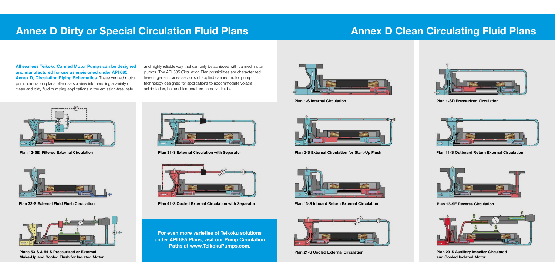**All sealless Teikoku Canned Motor Pumps can be designed and manufactured for use as envisioned under API 685 Annex D, Circulation Piping Schematics.** These canned motor pump circulation plans offer users a view into handling a variety of clean and dirty fluid pumping applications in the emission-free, safe

and highly reliable way that can only be achieved with canned motor pumps. The API 685 Circulation Plan possibilities are characterized here in generic cross sections of applied canned motor pump technology designed for applications to accommodate volatile, solids-laden, hot and temperature-sensitive fluids.

## **Annex D Dirty or Special Circulation Fluid Plans**



**Plan 31-S External Circulation with Separator**



**Plans 53-S & 54-S Pressurized or External Make-Up and Cooled Flush for Isolated Motor**



**Plan 32-S External Fluid Flush Circulation Plan 41-S Cooled External Circulation with Separator**



**Plan 12-SE Filtered External Circulation**



**For even more varieties of Teikoku solutions under API 685 Plans, visit our Pump Circulation Paths at www.TeikokuPumps.com.**

## **Annex D Clean Circulating Fluid Plans**



**Plan 1-S Internal Circulation**



**Plan 13-SE Reverse Circulation**



**Plan 2-S External Circulation for Start-Up Flush**



**Plan 23-S Auxiliary Impeller Circulated and Cooled Isolated Motor**



**Plan 1-SD Pressurized Circulation**



**Plan 11-S Outboard Return External Circulation**



**Plan 13-S Inboard Return External Circulation**



**Plan 21-S Cooled External Circulation**